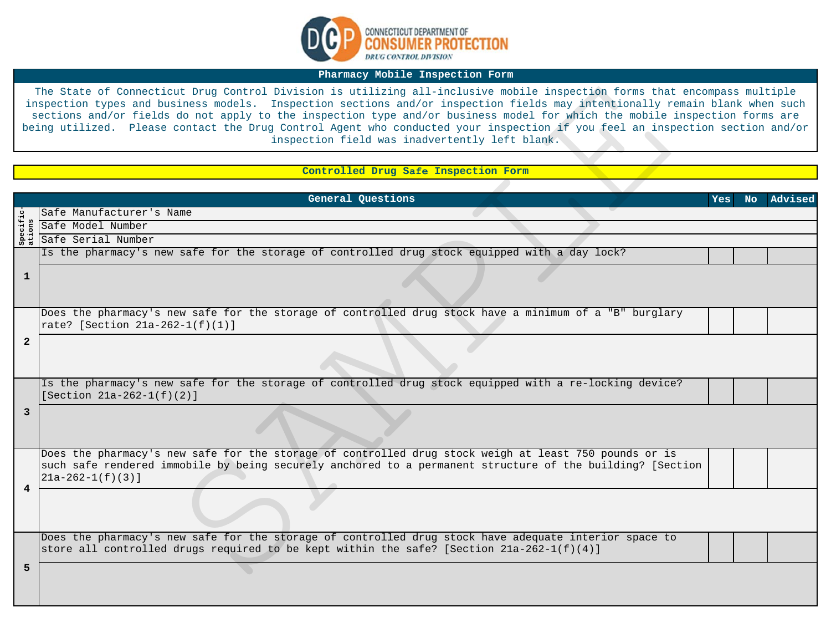

## **Pharmacy Mobile Inspection Form**

## **Controlled Drug Safe Inspection Form**

| The State of Connecticut Drug Control Division is utilizing all-inclusive mobile inspection forms that encompass multiple<br>inspection types and business models. Inspection sections and/or inspection fields may intentionally remain blank when such<br>sections and/or fields do not apply to the inspection type and/or business model for which the mobile inspection forms are<br>being utilized. Please contact the Drug Control Agent who conducted your inspection if you feel an inspection section and/or<br>inspection field was inadvertently left blank. |                                                                                                                                                                                                                                           |            |           |         |  |
|--------------------------------------------------------------------------------------------------------------------------------------------------------------------------------------------------------------------------------------------------------------------------------------------------------------------------------------------------------------------------------------------------------------------------------------------------------------------------------------------------------------------------------------------------------------------------|-------------------------------------------------------------------------------------------------------------------------------------------------------------------------------------------------------------------------------------------|------------|-----------|---------|--|
|                                                                                                                                                                                                                                                                                                                                                                                                                                                                                                                                                                          |                                                                                                                                                                                                                                           |            |           |         |  |
|                                                                                                                                                                                                                                                                                                                                                                                                                                                                                                                                                                          | Controlled Drug Safe Inspection Form                                                                                                                                                                                                      |            |           |         |  |
|                                                                                                                                                                                                                                                                                                                                                                                                                                                                                                                                                                          |                                                                                                                                                                                                                                           |            |           |         |  |
|                                                                                                                                                                                                                                                                                                                                                                                                                                                                                                                                                                          | General Questions                                                                                                                                                                                                                         | <b>Yes</b> | <b>No</b> | Advised |  |
|                                                                                                                                                                                                                                                                                                                                                                                                                                                                                                                                                                          | Safe Manufacturer's Name                                                                                                                                                                                                                  |            |           |         |  |
|                                                                                                                                                                                                                                                                                                                                                                                                                                                                                                                                                                          | Safe Model Number                                                                                                                                                                                                                         |            |           |         |  |
|                                                                                                                                                                                                                                                                                                                                                                                                                                                                                                                                                                          | Safe Serial Number                                                                                                                                                                                                                        |            |           |         |  |
|                                                                                                                                                                                                                                                                                                                                                                                                                                                                                                                                                                          | Is the pharmacy's new safe for the storage of controlled drug stock equipped with a day lock?                                                                                                                                             |            |           |         |  |
| 1                                                                                                                                                                                                                                                                                                                                                                                                                                                                                                                                                                        |                                                                                                                                                                                                                                           |            |           |         |  |
| 2                                                                                                                                                                                                                                                                                                                                                                                                                                                                                                                                                                        | Does the pharmacy's new safe for the storage of controlled drug stock have a minimum of a "B" burglary<br>rate? [Section 21a-262-1(f)(1)]                                                                                                 |            |           |         |  |
|                                                                                                                                                                                                                                                                                                                                                                                                                                                                                                                                                                          |                                                                                                                                                                                                                                           |            |           |         |  |
| 3                                                                                                                                                                                                                                                                                                                                                                                                                                                                                                                                                                        | Is the pharmacy's new safe for the storage of controlled drug stock equipped with a re-locking device?<br>[Section $21a-262-1(f)(2)$ ]                                                                                                    |            |           |         |  |
|                                                                                                                                                                                                                                                                                                                                                                                                                                                                                                                                                                          |                                                                                                                                                                                                                                           |            |           |         |  |
| 4                                                                                                                                                                                                                                                                                                                                                                                                                                                                                                                                                                        | Does the pharmacy's new safe for the storage of controlled drug stock weigh at least 750 pounds or is<br>such safe rendered immobile by being securely anchored to a permanent structure of the building? [Section<br>$21a-262-1(f)(3)$ ] |            |           |         |  |
|                                                                                                                                                                                                                                                                                                                                                                                                                                                                                                                                                                          |                                                                                                                                                                                                                                           |            |           |         |  |
| 5                                                                                                                                                                                                                                                                                                                                                                                                                                                                                                                                                                        | Does the pharmacy's new safe for the storage of controlled drug stock have adequate interior space to<br>store all controlled drugs required to be kept within the safe? [Section 21a-262-1(f)(4)]                                        |            |           |         |  |
|                                                                                                                                                                                                                                                                                                                                                                                                                                                                                                                                                                          |                                                                                                                                                                                                                                           |            |           |         |  |